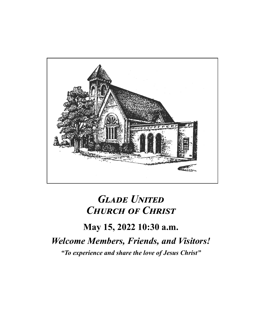

# *Glade United Church of Christ*

# **May 15, 2022 10:30 a.m.** *Welcome Members, Friends, and Visitors! "To experience and share the love of Jesus Christ"*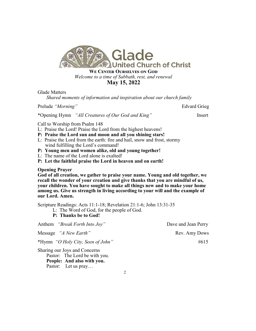

#### *\***May 15, 2022**

#### Glade Matters

*Shared moments of information and inspiration about our church family*

Prelude *"Morning"* Edvard Grieg

\*Opening Hymn *"All Creatures of Our God and King"* Insert

Call to Worship from Psalm 148

- L: Praise the Lord! Praise the Lord from the highest heavens!
- **P: Praise the Lord sun and moon and all you shining stars!**
- L: Praise the Lord from the earth: fire and hail, snow and frost, stormy wind fulfilling the Lord's command!
- **P: Young men and women alike, old and young together!**
- L: The name of the Lord alone is exalted!
- **P: Let the faithful praise the Lord in heaven and on earth!**

#### **Opening Prayer**

**God of all creation, we gather to praise your name. Young and old together, we recall the wonder of your creation and give thanks that you are mindful of us, your children. You have sought to make all things new and to make your home among us. Give us strength in living according to your will and the example of our Lord. Amen.** 

Scripture Readings: Acts 11:1-18; Revelation 21:1-6; John 13:31-35

- L: The Word of God, for the people of God.
- **P: Thanks be to God!**

| Anthem "Break Forth Into Joy"     | Dave and Jean Perry |
|-----------------------------------|---------------------|
| Message "A New Earth"             | Rev. Amy Dows       |
| *Hymn "O Holy City, Seen of John" | $\#615$             |
| Sharing our Joys and Concerns     |                     |

 Pastor: The Lord be with you. **People: And also with you.** Pastor: Let us pray...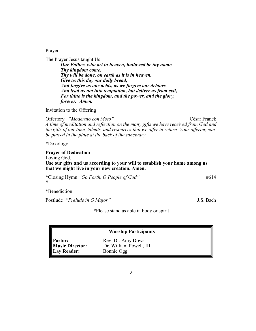Prayer

The Prayer Jesus taught Us *Our Father, who art in heaven, hallowed be thy name. Thy kingdom come. Thy will be done, on earth as it is in heaven. Give us this day our daily bread, And forgive us our debts, as we forgive our debtors. And lead us not into temptation, but deliver us from evil, For thine is the kingdom, and the power, and the glory, forever. Amen.*

Invitation to the Offering

Offertory *"Moderato con Moto"* César Franck *A time of meditation and reflection on the many gifts we have received from God and the gifts of our time, talents, and resources that we offer in return. Your offering can be placed in the plate at the back of the sanctuary.*

\*Doxology

**Prayer of Dedication**

Loving God,

**Use our gifts and us according to your will to establish your home among us that we might live in your new creation. Amen.** 

\*Closing Hymn *"Go Forth, O People of God"* #614 #

\*Benediction

Postlude *"Prelude in G Major"* J.S. Bach

\*Please stand as able in body or spirit

| <b>Worship Participants</b>                             |                                                            |  |  |
|---------------------------------------------------------|------------------------------------------------------------|--|--|
| Pastor:<br><b>Music Director:</b><br><b>Lay Reader:</b> | Rev. Dr. Amy Dows<br>Dr. William Powell, III<br>Bonnie Ogg |  |  |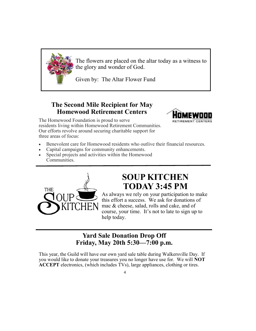

The flowers are placed on the altar today as a witness to the glory and wonder of God.

Given by: The Altar Flower Fund

### **The Second Mile Recipient for May Homewood Retirement Centers**



- Benevolent care for Homewood residents who outlive their financial resources.
- Capital campaigns for community enhancements.
- Special projects and activities within the Homewood Communities.



# **SOUP KITCHEN TODAY 3:45 PM**

RETIREMENT CENTERS

As always we rely on your participation to make this effort a success. We ask for donations of mac & cheese, salad, rolls and cake, and of course, your time. It's not to late to sign up to help today.

#### **Yard Sale Donation Drop Off Friday, May 20th 5:30—7:00 p.m.**

This year, the Guild will have our own yard sale table during Walkersville Day. If you would like to donate your treasures you no longer have use for. We will **NOT ACCEPT** electronics, (which includes TVs), large appliances, clothing or tires.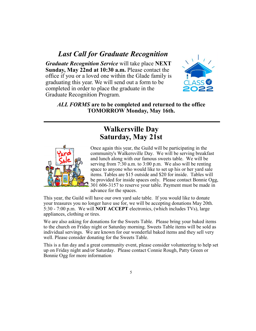### *Last Call for Graduate Recognition*

*Graduate Recognition Service* will take place **NEXT Sunday, May 22nd at 10:30 a.m.** Please contact the office if you or a loved one within the Glade family is graduating this year. We will send out a form to be completed in order to place the graduate in the Graduate Recognition Program.



*ALL FORMS* **are to be completed and returned to the office TOMORROW Monday, May 16th.** 

## **Walkersville Day Saturday, May 21st**



Once again this year, the Guild will be participating in the community's Walkersville Day. We will be serving breakfast and lunch along with our famous sweets table. We will be serving from 7:30 a.m. to 3:00 p.m. We also will be renting space to anyone who would like to set up his or her yard sale items. Tables are \$15 outside and \$20 for inside. Tables will be provided for inside spaces only. Please contact Bonnie Ogg, 301 606-3157 to reserve your table. Payment must be made in advance for the spaces.

This year, the Guild will have our own yard sale table. If you would like to donate your treasures you no longer have use for, we will be accepting donations May 20th. 5:30 - 7:00 p.m. We will **NOT ACCEPT** electronics, (which includes TVs), large appliances, clothing or tires.

We are also asking for donations for the Sweets Table. Please bring your baked items to the church on Friday night or Saturday morning. Sweets Table items will be sold as individual servings. We are known for our wonderful baked items and they sell very well. Please consider donating for the Sweets Table.

This is a fun day and a great community event, please consider volunteering to help set up on Friday night and/or Saturday. Please contact Connie Rough, Patty Green or Bonnie Ogg for more information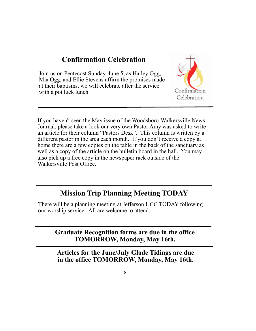## **Confirmation Celebration**

Join us on Pentecost Sunday, June 5, as Hailey Ogg, Mia Ogg, and Ellie Stevens affirm the promises made at their baptisms, we will celebrate after the service with a pot luck lunch.



If you haven't seen the May issue of the Woodsboro-Walkersville News Journal, please take a look our very own Pastor Amy was asked to write an article for their column "Pastors Desk". This column is written by a different pastor in the area each month. If you don't receive a copy at home there are a few copies on the table in the back of the sanctuary as well as a copy of the article on the bulletin board in the hall. You may also pick up a free copy in the newspaper rack outside of the Walkersville Post Office.

# **Mission Trip Planning Meeting TODAY**

There will be a planning meeting at Jefferson UCC TODAY following our worship service. All are welcome to attend.

> **Graduate Recognition forms are due in the office TOMORROW, Monday, May 16th.**

**Articles for the June/July Glade Tidings are due in the office TOMORROW, Monday, May 16th.**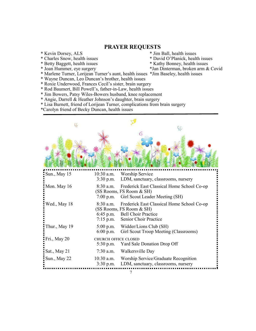#### **PRAYER REQUESTS**

- 
- \* Kevin Dorsey, ALS<br>
\* Charles Snow, health issues<br>
\* Charles Snow, health issues<br>
\* David O'Planick, health issues \* Charles Snow, health issues<br>\* Betty Baggett, health issues
	-
	-
- \* Betty Baggett, health issues \* Kathy Bonney, health issues \* Joan Hummer, eye surgery \* Van Dinterman, broken arm &
- 
- \*Jan Dinterman, broken arm & Covid
- \* Marlene Turner, Lorijean Turner's aunt, health issues \*Jim Baseley, health issues
- \* Wayne Duncan, Leo Duncan's brother, health issues
- \* Roxie Underwood, Frances Cecil's sister, brain surgery
- \* Rod Baumert, Bill Powell's, father-in-Law, health issues
- \* Jim Bowers, Patsy Wiles-Bowers husband, knee replacement
- \* Angie, Darrell & Heather Johnson's daughter, brain surgery
- \* Lisa Burnett, friend of Lorijean Turner, complications from brain surgery
- \*Carolyn friend of Becky Duncan, health issues

| Sun., May 15  | 10:30 a.m.<br>$3:30$ p.m.                | <b>Worship Service</b><br>LDM, sanctuary, classrooms, nursery                                                                 |
|---------------|------------------------------------------|-------------------------------------------------------------------------------------------------------------------------------|
| Mon. May 16   | 8:30 a.m.<br>$7:00$ p.m.                 | Frederick East Classical Home School Co-op<br>(SS Rooms, FS Room & SH)<br>Girl Scout Leader Meeting (SH)                      |
| Wed., May 18  | 8:30 a.m.<br>6:45 p.m.<br>$7:15$ p.m.    | Frederick East Classical Home School Co-op<br>(SS Rooms, FS Room & SH)<br><b>Bell Choir Practice</b><br>Senior Choir Practice |
| Thur., May 19 | $5:00$ p.m.<br>6:00 p.m.                 | Widder/Lions Club (SH)<br>Girl Scout Troop Meeting (Classrooms)                                                               |
| Fri., May 20  | <b>CHURCH OFFICE CLOSED</b><br>5:30 p.m. | Yard Sale Donation Drop Off                                                                                                   |
| Sat., May 21  | $7:30$ a.m.                              | Walkersville Day                                                                                                              |
| Sun., May 22  | 10:30 a.m.<br>$3:30$ p.m.                | Worship Service/Graduate Recognition<br>LDM, sanctuary, classrooms, nursery                                                   |
|               |                                          |                                                                                                                               |